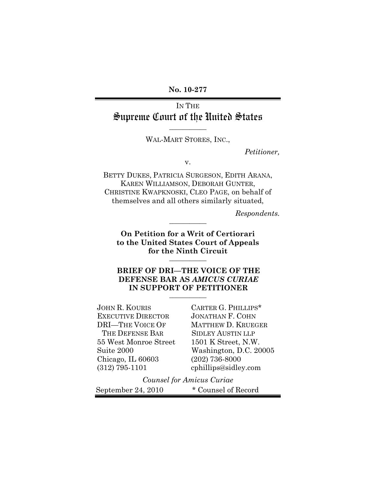**No. 10-277**

# IN THE Supreme Court of the United States

WAL-MART STORES, INC.,

**\_\_\_\_\_\_\_\_\_\_\_**

*Petitioner,*

v.

BETTY DUKES, PATRICIA SURGESON, EDITH ARANA, KAREN WILLIAMSON, DEBORAH GUNTER, CHRISTINE KWAPKNOSKI, CLEO PAGE, on behalf of themselves and all others similarly situated,

*Respondents.*

**On Petition for a Writ of Certiorari to the United States Court of Appeals for the Ninth Circuit \_\_\_\_\_\_\_\_\_\_\_**

**\_\_\_\_\_\_\_\_\_\_\_**

## **BRIEF OF DRI—THE VOICE OF THE DEFENSE BAR AS** *AMICUS CURIAE* **IN SUPPORT OF PETITIONER \_\_\_\_\_\_\_\_\_\_\_**

JOHN R. KOURIS EXECUTIVE DIRECTOR DRI—THE VOICE OF THE DEFENSE BAR 55 West Monroe Street Suite 2000 Chicago, IL 60603 (312) 795-1101

CARTER G. PHILLIPS\* JONATHAN F. COHN MATTHEW D. KRUEGER SIDLEY AUSTIN LLP 1501 K Street, N.W. Washington, D.C. 20005 (202) 736-8000 cphillips@sidley.com

*Counsel for Amicus Curiae* September 24, 2010 \* Counsel of Record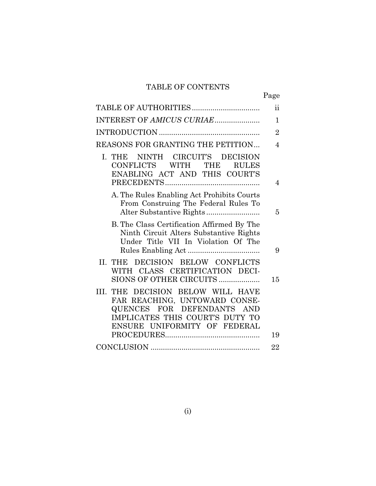# TABLE OF CONTENTS

|                                                                                                                                                                          | Page           |
|--------------------------------------------------------------------------------------------------------------------------------------------------------------------------|----------------|
|                                                                                                                                                                          | $\rm ii$       |
| INTEREST OF AMICUS CURIAE                                                                                                                                                | $\mathbf{1}$   |
|                                                                                                                                                                          | $\overline{2}$ |
| REASONS FOR GRANTING THE PETITION                                                                                                                                        | 4              |
| THE NINTH CIRCUIT'S DECISION<br>I.<br>CONFLICTS WITH THE<br><b>RULES</b><br>ENABLING ACT AND THIS COURT'S                                                                | 4              |
| A. The Rules Enabling Act Prohibits Courts<br>From Construing The Federal Rules To                                                                                       | 5              |
| B. The Class Certification Affirmed By The<br>Ninth Circuit Alters Substantive Rights<br>Under Title VII In Violation Of The                                             | 9              |
| II. THE DECISION BELOW CONFLICTS<br>WITH CLASS CERTIFICATION DECI-<br>SIONS OF OTHER CIRCUITS                                                                            | 15             |
| THE DECISION BELOW WILL HAVE<br>HH.<br>FAR REACHING, UNTOWARD CONSE-<br>QUENCES FOR DEFENDANTS<br>AND<br>IMPLICATES THIS COURT'S DUTY TO<br>ENSURE UNIFORMITY OF FEDERAL | 19             |
|                                                                                                                                                                          | 22             |
|                                                                                                                                                                          |                |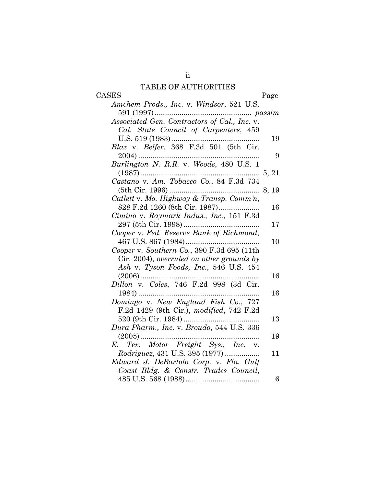# TABLE OF AUTHORITIES

| CASES                                        | Page |
|----------------------------------------------|------|
| Amchem Prods., Inc. v. Windsor, 521 U.S.     |      |
|                                              |      |
| Associated Gen. Contractors of Cal., Inc. v. |      |
| Cal. State Council of Carpenters, 459        |      |
|                                              | 19   |
| Blaz v. Belfer, 368 F.3d 501 (5th Cir.       |      |
|                                              | 9    |
| Burlington N. R.R. v. Woods, 480 U.S. 1      |      |
|                                              |      |
| Castano v. Am. Tobacco Co., 84 F.3d 734      |      |
|                                              |      |
| Catlett v. Mo. Highway & Transp. Comm'n,     |      |
| 828 F.2d 1260 (8th Cir. 1987)                | 16   |
| Cimino v. Raymark Indus., Inc., 151 F.3d     |      |
|                                              | 17   |
| Cooper v. Fed. Reserve Bank of Richmond,     |      |
|                                              | 10   |
| Cooper v. Southern Co., 390 F.3d 695 (11th   |      |
| $Cir. 2004$ , overruled on other grounds by  |      |
| Ash v. Tyson Foods, Inc., 546 U.S. 454       |      |
|                                              | 16   |
| Dillon v. Coles, 746 F.2d 998 (3d Cir.       |      |
|                                              | 16   |
| Domingo v. New England Fish Co., 727         |      |
| F.2d 1429 (9th Cir.), modified, 742 F.2d     |      |
|                                              | 13   |
| Dura Pharm., Inc. v. Broudo, 544 U.S. 336    |      |
| $(2005)$                                     | 19   |
| Tex. Motor Freight Sys., Inc. v.<br>E.       |      |
| <i>Rodriguez</i> , 431 U.S. 395 (1977)       | 11   |
| Edward J. DeBartolo Corp. v. Fla. Gulf       |      |
| Coast Bldg. & Constr. Trades Council,        |      |
|                                              | 6    |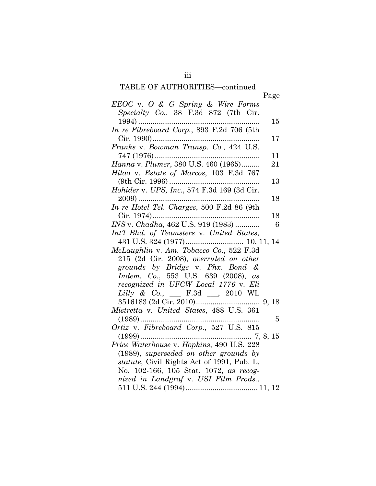# TABLE OF AUTHORITIES—continued

iii

|                                             | Page   |
|---------------------------------------------|--------|
| EEOC v. O & G Spring & Wire Forms           |        |
| Specialty Co., 38 F.3d 872 (7th Cir.        |        |
|                                             | 15     |
| In re Fibreboard Corp., 893 F.2d 706 (5th   |        |
|                                             | $17\,$ |
| Franks v. Bowman Transp. Co., 424 U.S.      |        |
|                                             | 11     |
| Hanna v. Plumer, 380 U.S. 460 (1965)        | 21     |
| Hilao v. Estate of Marcos, 103 F.3d 767     |        |
|                                             | 13     |
| Hohider v. UPS, Inc., 574 F.3d 169 (3d Cir. |        |
|                                             | 18     |
| In re Hotel Tel. Charges, 500 F.2d 86 (9th  |        |
|                                             | 18     |
| INS v. Chadha, 462 U.S. 919 (1983)          | 6      |
| Int'l Bhd. of Teamsters v. United States,   |        |
|                                             |        |
| McLaughlin v. Am. Tobacco Co., 522 F.3d     |        |
| 215 (2d Cir. 2008), overruled on other      |        |
| grounds by Bridge v. Phx. Bond &            |        |
| Indem. Co., 553 U.S. 639 (2008), as         |        |
| recognized in UFCW Local 1776 v. Eli        |        |
| Lilly & Co., __ F.3d __, 2010 WL            |        |
|                                             |        |
| Mistretta v. United States, 488 U.S. 361    |        |
|                                             | 5      |
| Ortiz v. Fibreboard Corp., 527 U.S. 815     |        |
|                                             |        |
| Price Waterhouse v. Hopkins, 490 U.S. 228   |        |
| (1989), superseded on other grounds by      |        |
| statute, Civil Rights Act of 1991, Pub. L.  |        |
| No. 102-166, 105 Stat. 1072, as recog-      |        |
| nized in Landgraf v. USI Film Prods.,       |        |
|                                             |        |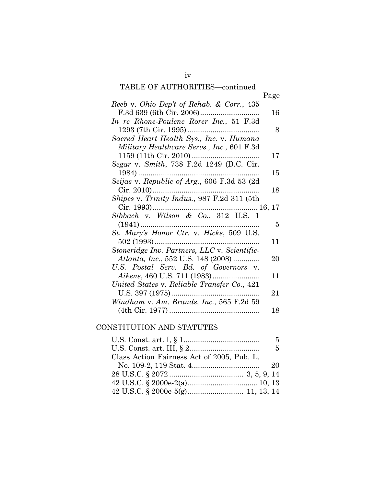# TABLE OF AUTHORITIES—continued

|                                              | Page |
|----------------------------------------------|------|
| Reeb v. Ohio Dep't of Rehab. & Corr., 435    |      |
| F.3d 639 (6th Cir. 2006)                     | 16   |
| In re Rhone-Poulenc Rorer Inc., 51 F.3d      |      |
| 1293 (7th Cir. 1995)<br>.                    | 8    |
| Sacred Heart Health Sys., Inc. v. Humana     |      |
| Military Healthcare Servs., Inc., 601 F.3d   |      |
|                                              | 17   |
| Segar v. Smith, 738 F.2d 1249 (D.C. Cir.     |      |
| $1984)$                                      | 15   |
| Seijas v. Republic of Arg., 606 F.3d 53 (2d) |      |
| $Cir. 2010$                                  | 18   |
| Shipes v. Trinity Indus., 987 F.2d 311 (5th  |      |
|                                              |      |
| $Sibbach$ v. Wilson & Co., 312 U.S. 1        |      |
|                                              | 5    |
| St. Mary's Honor Ctr. v. Hicks, 509 U.S.     |      |
|                                              | 11   |
| Stoneridge Inv. Partners, LLC v. Scientific- |      |
| Atlanta, Inc., 552 U.S. 148 (2008)           | 20   |
| U.S. Postal Serv. Bd. of Governors v.        |      |
|                                              | 11   |
| United States v. Reliable Transfer Co., 421  |      |
|                                              | 21   |
| Windham v. Am. Brands, Inc., 565 F.2d 59     |      |
|                                              | 18   |
|                                              |      |

# CONSTITUTION AND STATUTES

|                                            | $5^{\circ}$ |
|--------------------------------------------|-------------|
|                                            | -5          |
| Class Action Fairness Act of 2005, Pub. L. |             |
|                                            | 20          |
|                                            |             |
|                                            |             |
|                                            |             |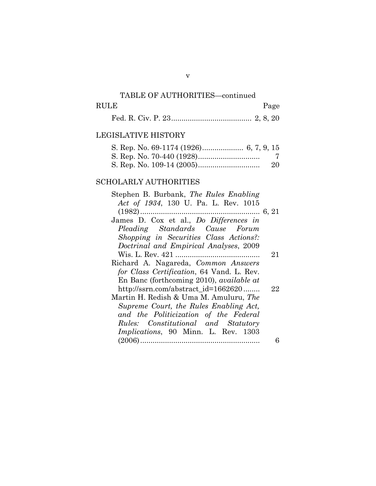# TABLE OF AUTHORITIES—continued RULE Page Fed. R. Civ. P. 23....................................... 2, 8, 20

# LEGISLATIVE HISTORY

| 20 |
|----|

# SCHOLARLY AUTHORITIES

| Stephen B. Burbank, The Rules Enabling          |    |
|-------------------------------------------------|----|
| Act of 1934, 130 U. Pa. L. Rev. 1015            |    |
|                                                 |    |
| James D. Cox et al., Do Differences in          |    |
| Pleading Standards Cause Forum                  |    |
| Shopping in Securities Class Actions?:          |    |
| Doctrinal and Empirical Analyses, 2009          |    |
|                                                 | 21 |
| Richard A. Nagareda, Common Answers             |    |
| for Class Certification, 64 Vand. L. Rev.       |    |
| En Banc (forthcoming 2010), <i>available at</i> |    |
| http://ssrn.com/abstract_id=1662620             | 22 |
| Martin H. Redish & Uma M. Amuluru, The          |    |
| Supreme Court, the Rules Enabling Act,          |    |
| and the Politicization of the Federal           |    |
| Rules: Constitutional and Statutory             |    |
| <i>Implications</i> , 90 Minn. L. Rev. 1303     |    |
|                                                 |    |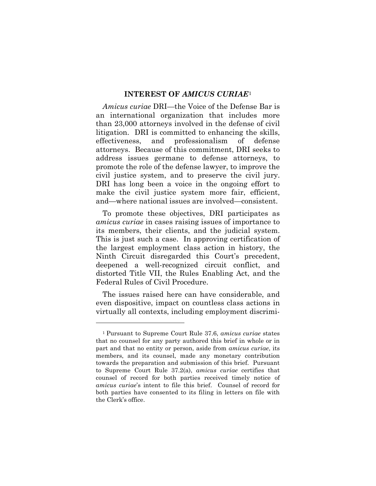#### **INTEREST OF** *AMICUS CURIAE*[1](#page-6-0)

*Amicus curiae* DRI—the Voice of the Defense Bar is an international organization that includes more than 23,000 attorneys involved in the defense of civil litigation. DRI is committed to enhancing the skills, effectiveness, and professionalism of defense attorneys. Because of this commitment, DRI seeks to address issues germane to defense attorneys, to promote the role of the defense lawyer, to improve the civil justice system, and to preserve the civil jury. DRI has long been a voice in the ongoing effort to make the civil justice system more fair, efficient, and—where national issues are involved—consistent.

To promote these objectives, DRI participates as *amicus curiae* in cases raising issues of importance to its members, their clients, and the judicial system. This is just such a case. In approving certification of the largest employment class action in history, the Ninth Circuit disregarded this Court's precedent, deepened a well-recognized circuit conflict, and distorted Title VII, the Rules Enabling Act, and the Federal Rules of Civil Procedure.

The issues raised here can have considerable, and even dispositive, impact on countless class actions in virtually all contexts, including employment discrimi-

 $\overline{a}$ 

<span id="page-6-0"></span><sup>1</sup> Pursuant to Supreme Court Rule 37.6, *amicus curiae* states that no counsel for any party authored this brief in whole or in part and that no entity or person, aside from *amicus curiae*, its members, and its counsel, made any monetary contribution towards the preparation and submission of this brief. Pursuant to Supreme Court Rule 37.2(a), *amicus curiae* certifies that counsel of record for both parties received timely notice of *amicus curiae*'s intent to file this brief. Counsel of record for both parties have consented to its filing in letters on file with the Clerk's office.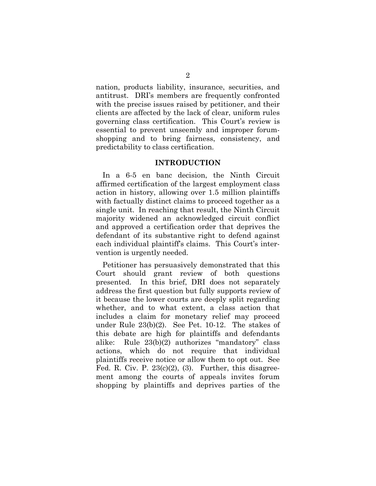nation, products liability, insurance, securities, and antitrust. DRI's members are frequently confronted with the precise issues raised by petitioner, and their clients are affected by the lack of clear, uniform rules governing class certification. This Court's review is essential to prevent unseemly and improper forumshopping and to bring fairness, consistency, and predictability to class certification.

### **INTRODUCTION**

In a 6-5 en banc decision, the Ninth Circuit affirmed certification of the largest employment class action in history, allowing over 1.5 million plaintiffs with factually distinct claims to proceed together as a single unit. In reaching that result, the Ninth Circuit majority widened an acknowledged circuit conflict and approved a certification order that deprives the defendant of its substantive right to defend against each individual plaintiff's claims. This Court's intervention is urgently needed.

Petitioner has persuasively demonstrated that this Court should grant review of both questions presented. In this brief, DRI does not separately address the first question but fully supports review of it because the lower courts are deeply split regarding whether, and to what extent, a class action that includes a claim for monetary relief may proceed under Rule 23(b)(2). See Pet. 10-12. The stakes of this debate are high for plaintiffs and defendants alike: Rule 23(b)(2) authorizes "mandatory" class actions, which do not require that individual plaintiffs receive notice or allow them to opt out. See Fed. R. Civ. P.  $23(c)(2)$ , (3). Further, this disagreement among the courts of appeals invites forum shopping by plaintiffs and deprives parties of the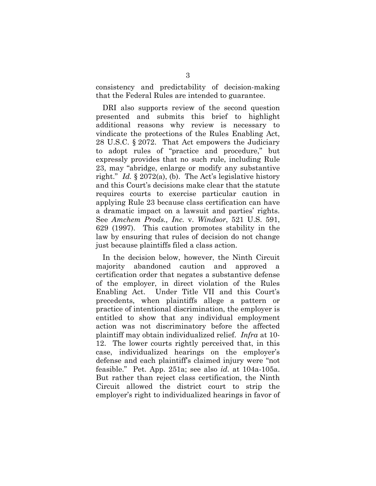consistency and predictability of decision-making that the Federal Rules are intended to guarantee.

DRI also supports review of the second question presented and submits this brief to highlight additional reasons why review is necessary to vindicate the protections of the Rules Enabling Act, 28 U.S.C. § 2072. That Act empowers the Judiciary to adopt rules of "practice and procedure," but expressly provides that no such rule, including Rule 23, may "abridge, enlarge or modify any substantive right." *Id.* § 2072(a), (b). The Act's legislative history and this Court's decisions make clear that the statute requires courts to exercise particular caution in applying Rule 23 because class certification can have a dramatic impact on a lawsuit and parties' rights. See *Amchem Prods., Inc.* v. *Windsor*, 521 U.S. 591, 629 (1997). This caution promotes stability in the law by ensuring that rules of decision do not change just because plaintiffs filed a class action.

In the decision below, however, the Ninth Circuit majority abandoned caution and approved a certification order that negates a substantive defense of the employer, in direct violation of the Rules Enabling Act. Under Title VII and this Court's precedents, when plaintiffs allege a pattern or practice of intentional discrimination, the employer is entitled to show that any individual employment action was not discriminatory before the affected plaintiff may obtain individualized relief. *Infra* at 10- 12. The lower courts rightly perceived that, in this case, individualized hearings on the employer's defense and each plaintiff's claimed injury were "not feasible." Pet. App. 251a; see also *id.* at 104a-105a. But rather than reject class certification, the Ninth Circuit allowed the district court to strip the employer's right to individualized hearings in favor of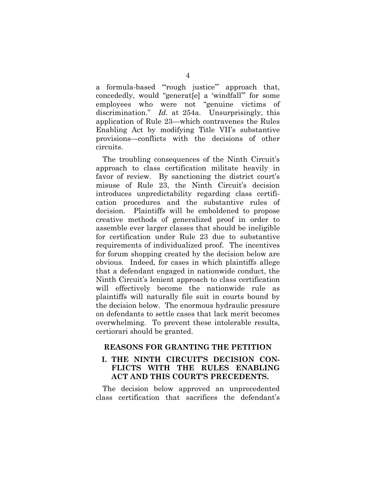a formula-based "'rough justice'" approach that, concededly, would "generat[e] a 'windfall'" for some employees who were not "genuine victims of discrimination." *Id.* at 254a. Unsurprisingly, this application of Rule 23—which contravenes the Rules Enabling Act by modifying Title VII's substantive provisions—conflicts with the decisions of other circuits.

The troubling consequences of the Ninth Circuit's approach to class certification militate heavily in favor of review. By sanctioning the district court's misuse of Rule 23, the Ninth Circuit's decision introduces unpredictability regarding class certification procedures and the substantive rules of decision. Plaintiffs will be emboldened to propose creative methods of generalized proof in order to assemble ever larger classes that should be ineligible for certification under Rule 23 due to substantive requirements of individualized proof. The incentives for forum shopping created by the decision below are obvious. Indeed, for cases in which plaintiffs allege that a defendant engaged in nationwide conduct, the Ninth Circuit's lenient approach to class certification will effectively become the nationwide rule as plaintiffs will naturally file suit in courts bound by the decision below. The enormous hydraulic pressure on defendants to settle cases that lack merit becomes overwhelming. To prevent these intolerable results, certiorari should be granted.

#### **REASONS FOR GRANTING THE PETITION**

## **I. THE NINTH CIRCUIT'S DECISION CON-FLICTS WITH THE RULES ENABLING ACT AND THIS COURT'S PRECEDENTS.**

The decision below approved an unprecedented class certification that sacrifices the defendant's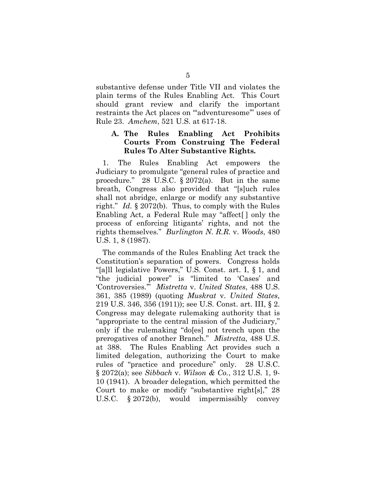substantive defense under Title VII and violates the plain terms of the Rules Enabling Act. This Court should grant review and clarify the important restraints the Act places on "'adventuresome'" uses of Rule 23. *Amchem*, 521 U.S. at 617-18.

## **A. The Rules Enabling Act Prohibits Courts From Construing The Federal Rules To Alter Substantive Rights.**

1. The Rules Enabling Act empowers the Judiciary to promulgate "general rules of practice and procedure." 28 U.S.C. § 2072(a). But in the same breath, Congress also provided that "[s]uch rules shall not abridge, enlarge or modify any substantive right." *Id.* § 2072(b). Thus, to comply with the Rules Enabling Act, a Federal Rule may "affect[ ] only the process of enforcing litigants' rights, and not the rights themselves." *Burlington N. R.R.* v. *Woods*, 480 U.S. 1, 8 (1987).

The commands of the Rules Enabling Act track the Constitution's separation of powers. Congress holds "[a]ll legislative Powers," U.S. Const. art. I, § 1, and "the judicial power" is "limited to 'Cases' and 'Controversies.'" *Mistretta* v. *United States*, 488 U.S. 361, 385 (1989) (quoting *Muskrat* v. *United States*, 219 U.S. 346, 356 (1911)); see U.S. Const. art. III, § 2. Congress may delegate rulemaking authority that is "appropriate to the central mission of the Judiciary," only if the rulemaking "do[es] not trench upon the prerogatives of another Branch." *Mistretta*, 488 U.S. at 388. The Rules Enabling Act provides such a limited delegation, authorizing the Court to make rules of "practice and procedure" only. 28 U.S.C. § 2072(a); see *Sibbach* v. *Wilson & Co.*, 312 U.S. 1, 9- 10 (1941). A broader delegation, which permitted the Court to make or modify "substantive right[s]," 28 U.S.C. § 2072(b), would impermissibly convey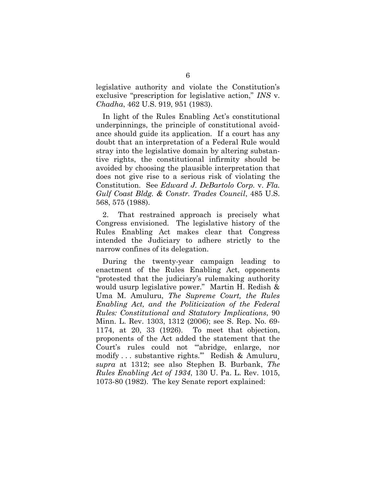legislative authority and violate the Constitution's exclusive "prescription for legislative action," *INS* v. *Chadha*, 462 U.S. 919, 951 (1983).

In light of the Rules Enabling Act's constitutional underpinnings, the principle of constitutional avoidance should guide its application. If a court has any doubt that an interpretation of a Federal Rule would stray into the legislative domain by altering substantive rights, the constitutional infirmity should be avoided by choosing the plausible interpretation that does not give rise to a serious risk of violating the Constitution. See *Edward J. DeBartolo Corp.* v. *Fla. Gulf Coast Bldg. & Constr. Trades Council*, 485 U.S. 568, 575 (1988).

2. That restrained approach is precisely what Congress envisioned. The legislative history of the Rules Enabling Act makes clear that Congress intended the Judiciary to adhere strictly to the narrow confines of its delegation.

During the twenty-year campaign leading to enactment of the Rules Enabling Act, opponents "protested that the judiciary's rulemaking authority would usurp legislative power." Martin H. Redish & Uma M. Amuluru, *The Supreme Court, the Rules Enabling Act, and the Politicization of the Federal Rules: Constitutional and Statutory Implications*, 90 Minn. L. Rev. 1303, 1312 (2006); see S. Rep. No. 69- 1174, at 20, 33 (1926). To meet that objection, proponents of the Act added the statement that the Court's rules could not "'abridge, enlarge, nor modify . . . substantive rights.'" Redish & Amuluru¸ *supra* at 1312; see also Stephen B. Burbank, *The Rules Enabling Act of 1934*, 130 U. Pa. L. Rev. 1015, 1073-80 (1982). The key Senate report explained: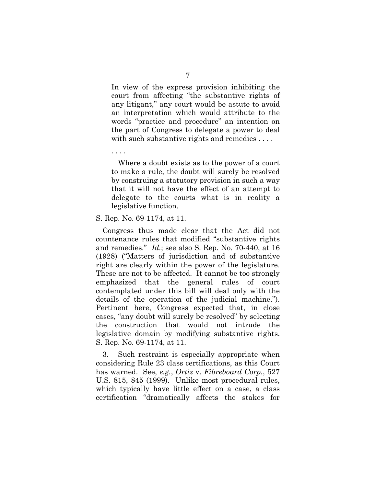In view of the express provision inhibiting the court from affecting "the substantive rights of any litigant," any court would be astute to avoid an interpretation which would attribute to the words "practice and procedure" an intention on the part of Congress to delegate a power to deal with such substantive rights and remedies ....

. . . .

Where a doubt exists as to the power of a court to make a rule, the doubt will surely be resolved by construing a statutory provision in such a way that it will not have the effect of an attempt to delegate to the courts what is in reality a legislative function.

#### S. Rep. No. 69-1174, at 11.

Congress thus made clear that the Act did not countenance rules that modified "substantive rights and remedies." *Id.*; see also S. Rep. No. 70-440, at 16 (1928) ("Matters of jurisdiction and of substantive right are clearly within the power of the legislature. These are not to be affected. It cannot be too strongly emphasized that the general rules of court contemplated under this bill will deal only with the details of the operation of the judicial machine."). Pertinent here, Congress expected that, in close cases, "any doubt will surely be resolved" by selecting the construction that would not intrude the legislative domain by modifying substantive rights. S. Rep. No. 69-1174, at 11.

3. Such restraint is especially appropriate when considering Rule 23 class certifications, as this Court has warned. See, *e.g.*, *Ortiz* v. *Fibreboard Corp.*, 527 U.S. 815, 845 (1999). Unlike most procedural rules, which typically have little effect on a case, a class certification "dramatically affects the stakes for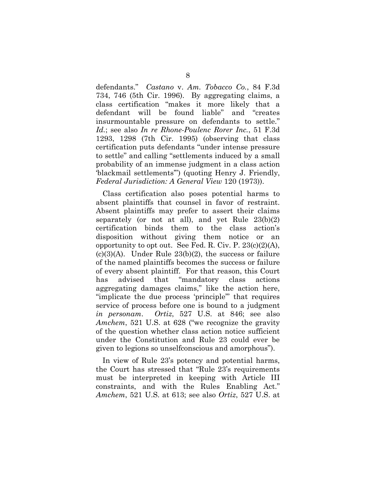defendants." *Castano* v. *Am. Tobacco Co.*, 84 F.3d 734, 746 (5th Cir. 1996). By aggregating claims, a class certification "makes it more likely that a defendant will be found liable" and "creates insurmountable pressure on defendants to settle." *Id.*; see also *In re Rhone-Poulenc Rorer Inc.*, 51 F.3d 1293, 1298 (7th Cir. 1995) (observing that class certification puts defendants "under intense pressure to settle" and calling "settlements induced by a small probability of an immense judgment in a class action 'blackmail settlements'") (quoting Henry J. Friendly, *Federal Jurisdiction: A General View* 120 (1973)).

Class certification also poses potential harms to absent plaintiffs that counsel in favor of restraint. Absent plaintiffs may prefer to assert their claims separately (or not at all), and yet Rule  $23(b)(2)$ certification binds them to the class action's disposition without giving them notice or an opportunity to opt out. See Fed. R. Civ. P.  $23(c)(2)(A)$ ,  $(c)(3)(A)$ . Under Rule  $23(b)(2)$ , the success or failure of the named plaintiffs becomes the success or failure of every absent plaintiff. For that reason, this Court has advised that "mandatory class actions aggregating damages claims," like the action here, "implicate the due process 'principle'" that requires service of process before one is bound to a judgment *in personam*. *Ortiz*, 527 U.S. at 846; see also *Amchem*, 521 U.S. at 628 ("we recognize the gravity of the question whether class action notice sufficient under the Constitution and Rule 23 could ever be given to legions so unselfconscious and amorphous").

In view of Rule 23's potency and potential harms, the Court has stressed that "Rule 23's requirements must be interpreted in keeping with Article III constraints, and with the Rules Enabling Act." *Amchem*, 521 U.S. at 613; see also *Ortiz*, 527 U.S. at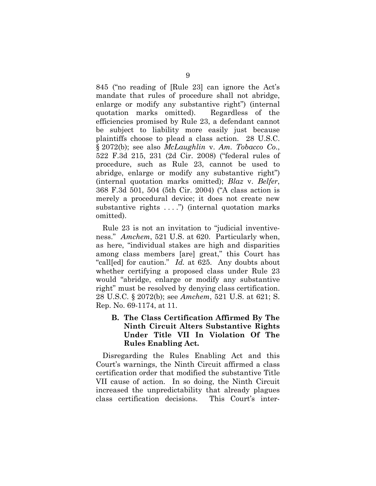845 ("no reading of [Rule 23] can ignore the Act's mandate that rules of procedure shall not abridge, enlarge or modify any substantive right") (internal quotation marks omitted). Regardless of the efficiencies promised by Rule 23, a defendant cannot be subject to liability more easily just because plaintiffs choose to plead a class action. 28 U.S.C. § 2072(b); see also *McLaughlin* v. *Am. Tobacco Co*., 522 F.3d 215, 231 (2d Cir. 2008) ("federal rules of procedure, such as Rule 23, cannot be used to abridge, enlarge or modify any substantive right") (internal quotation marks omitted); *Blaz* v. *Belfer*, 368 F.3d 501, 504 (5th Cir. 2004) ("A class action is merely a procedural device; it does not create new substantive rights ....") (internal quotation marks omitted).

Rule 23 is not an invitation to "judicial inventiveness." *Amchem*, 521 U.S. at 620. Particularly when, as here, "individual stakes are high and disparities among class members [are] great," this Court has "call[ed] for caution." *Id.* at 625. Any doubts about whether certifying a proposed class under Rule 23 would "abridge, enlarge or modify any substantive right" must be resolved by denying class certification. 28 U.S.C. § 2072(b); see *Amchem*, 521 U.S. at 621; S. Rep. No. 69-1174, at 11.

## **B. The Class Certification Affirmed By The Ninth Circuit Alters Substantive Rights Under Title VII In Violation Of The Rules Enabling Act.**

Disregarding the Rules Enabling Act and this Court's warnings, the Ninth Circuit affirmed a class certification order that modified the substantive Title VII cause of action. In so doing, the Ninth Circuit increased the unpredictability that already plagues class certification decisions. This Court's inter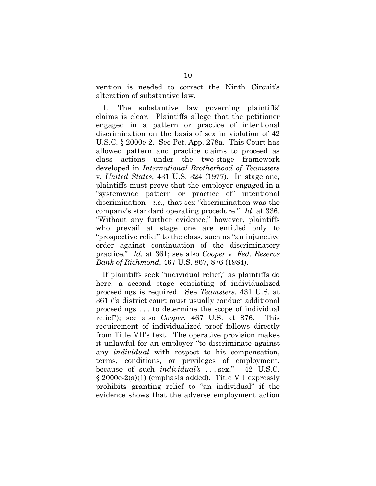vention is needed to correct the Ninth Circuit's alteration of substantive law.

1. The substantive law governing plaintiffs' claims is clear. Plaintiffs allege that the petitioner engaged in a pattern or practice of intentional discrimination on the basis of sex in violation of 42 U.S.C. § 2000e-2. See Pet. App. 278a. This Court has allowed pattern and practice claims to proceed as class actions under the two-stage framework developed in *International Brotherhood of Teamsters*  v. *United States*, 431 U.S. 324 (1977). In stage one, plaintiffs must prove that the employer engaged in a "systemwide pattern or practice of" intentional discrimination—*i.e.*, that sex "discrimination was the company's standard operating procedure." *Id.* at 336. "Without any further evidence," however, plaintiffs who prevail at stage one are entitled only to "prospective relief" to the class, such as "an injunctive order against continuation of the discriminatory practice." *Id.* at 361; see also *Cooper* v. *Fed. Reserve Bank of Richmond*, 467 U.S. 867, 876 (1984).

If plaintiffs seek "individual relief," as plaintiffs do here, a second stage consisting of individualized proceedings is required. See *Teamsters*, 431 U.S. at 361 ("a district court must usually conduct additional proceedings . . . to determine the scope of individual relief"); see also *Cooper*, 467 U.S. at 876. This requirement of individualized proof follows directly from Title VII's text. The operative provision makes it unlawful for an employer "to discriminate against any *individual* with respect to his compensation, terms, conditions, or privileges of employment, because of such *individual's* . . . sex." 42 U.S.C. § 2000e-2(a)(1) (emphasis added). Title VII expressly prohibits granting relief to "an individual" if the evidence shows that the adverse employment action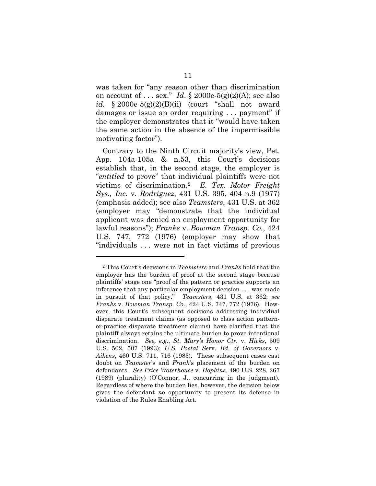was taken for "any reason other than discrimination on account of . . . sex." *Id.*  $\S 2000e-5(g)(2)(A)$ ; see also *id.* § 2000e-5(g)(2)(B)(ii) (court "shall not award damages or issue an order requiring . . . payment" if the employer demonstrates that it "would have taken the same action in the absence of the impermissible motivating factor").

Contrary to the Ninth Circuit majority's view, Pet. App. 104a-105a & n.53, this Court's decisions establish that, in the second stage, the employer is "*entitled* to prove" that individual plaintiffs were not victims of discrimination.[2](#page-16-0) *E. Tex. Motor Freight Sys., Inc.* v. *Rodriguez*, 431 U.S. 395, 404 n.9 (1977) (emphasis added); see also *Teamsters*, 431 U.S. at 362 (employer may "demonstrate that the individual applicant was denied an employment opportunity for lawful reasons"); *Franks* v. *Bowman Transp. Co.*, 424 U.S. 747, 772 (1976) (employer may show that "individuals . . . were not in fact victims of previous

 $\overline{a}$ 

<span id="page-16-0"></span><sup>2</sup> This Court's decisions in *Teamsters* and *Franks* hold that the employer has the burden of proof at the second stage because plaintiffs' stage one "proof of the pattern or practice supports an inference that any particular employment decision . . . was made in pursuit of that policy." *Teamsters*, 431 U.S. at 362; *see Franks* v. *Bowman Transp. Co.*, 424 U.S. 747, 772 (1976). However, this Court's subsequent decisions addressing individual disparate treatment claims (as opposed to class action patternor-practice disparate treatment claims) have clarified that the plaintiff always retains the ultimate burden to prove intentional discrimination. *See, e.g.*, *St. Mary's Honor Ctr.* v. *Hicks*, 509 U.S. 502, 507 (1993); *U.S. Postal Ser*v. *Bd. of Governors* v. *Aikens*, 460 U.S. 711, 716 (1983). These subsequent cases cast doubt on *Teamster*'s and *Frank*'s placement of the burden on defendants. *See Price Waterhouse* v. *Hopkins*, 490 U.S. 228, 267 (1989) (plurality) (O'Connor, J., concurring in the judgment). Regardless of where the burden lies, however, the decision below gives the defendant *no* opportunity to present its defense in violation of the Rules Enabling Act.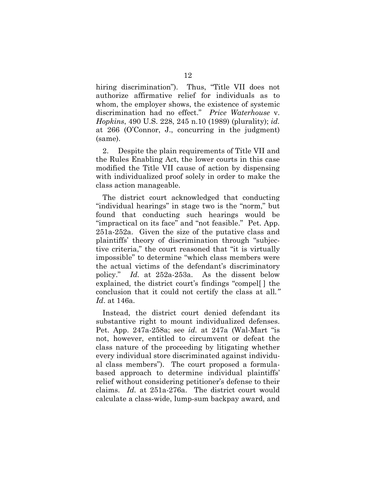hiring discrimination"). Thus, "Title VII does not authorize affirmative relief for individuals as to whom, the employer shows, the existence of systemic discrimination had no effect." *Price Waterhouse* v. *Hopkins*, 490 U.S. 228, 245 n.10 (1989) (plurality); *id.* at 266 (O'Connor, J., concurring in the judgment) (same).

2. Despite the plain requirements of Title VII and the Rules Enabling Act, the lower courts in this case modified the Title VII cause of action by dispensing with individualized proof solely in order to make the class action manageable.

The district court acknowledged that conducting "individual hearings" in stage two is the "norm," but found that conducting such hearings would be "impractical on its face" and "not feasible." Pet. App. 251a-252a. Given the size of the putative class and plaintiffs' theory of discrimination through "subjective criteria," the court reasoned that "it is virtually impossible" to determine "which class members were the actual victims of the defendant's discriminatory policy." *Id.* at 252a-253a. As the dissent below explained, the district court's findings "compel[ ] the conclusion that it could not certify the class at all*." Id*. at 146a.

Instead, the district court denied defendant its substantive right to mount individualized defenses. Pet. App. 247a-258a; see *id.* at 247a (Wal-Mart "is not, however, entitled to circumvent or defeat the class nature of the proceeding by litigating whether every individual store discriminated against individual class members"). The court proposed a formulabased approach to determine individual plaintiffs' relief without considering petitioner's defense to their claims. *Id.* at 251a-276a. The district court would calculate a class-wide, lump-sum backpay award, and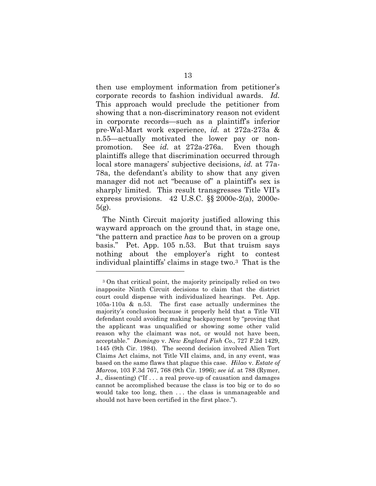then use employment information from petitioner's corporate records to fashion individual awards. *Id.* This approach would preclude the petitioner from showing that a non-discriminatory reason not evident in corporate records—such as a plaintiff's inferior pre-Wal-Mart work experience, *id.* at 272a-273a & n.55—actually motivated the lower pay or nonpromotion. See *id.* at 272a-276a. Even though plaintiffs allege that discrimination occurred through local store managers' subjective decisions, *id.* at 77a-78a, the defendant's ability to show that any given manager did not act "because of" a plaintiff's sex is sharply limited. This result transgresses Title VII's express provisions. 42 U.S.C. §§ 2000e-2(a), 2000e-5(g).

The Ninth Circuit majority justified allowing this wayward approach on the ground that, in stage one, "the pattern and practice *has* to be proven on a group basis." Pet. App. 105 n.53. But that truism says nothing about the employer's right to contest individual plaintiffs' claims in stage two[.3](#page-18-0) That is the

 $\overline{a}$ 

<span id="page-18-0"></span><sup>3</sup> On that critical point, the majority principally relied on two inapposite Ninth Circuit decisions to claim that the district court could dispense with individualized hearings. Pet. App. 105a-110a & n.53. The first case actually undermines the majority's conclusion because it properly held that a Title VII defendant could avoiding making backpayment by "proving that the applicant was unqualified or showing some other valid reason why the claimant was not, or would not have been, acceptable." *Domingo* v. *New England Fish Co*., 727 F.2d 1429, 1445 (9th Cir. 1984). The second decision involved Alien Tort Claims Act claims, not Title VII claims, and, in any event, was based on the same flaws that plague this case. *Hilao* v. *Estate of Marcos*, 103 F.3d 767, 768 (9th Cir. 1996); *see id.* at 788 (Rymer, J., dissenting) ("If . . . a real prove-up of causation and damages cannot be accomplished because the class is too big or to do so would take too long, then . . . the class is unmanageable and should not have been certified in the first place.").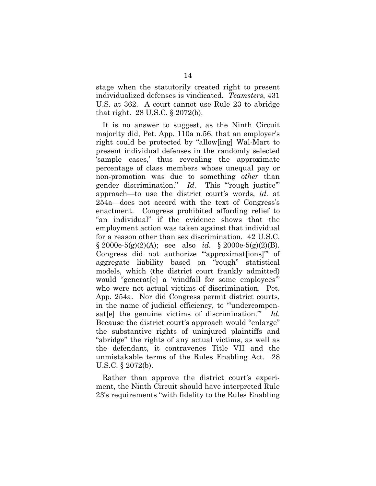stage when the statutorily created right to present individualized defenses is vindicated. *Teamsters*, 431 U.S. at 362. A court cannot use Rule 23 to abridge that right. 28 U.S.C. § 2072(b).

It is no answer to suggest, as the Ninth Circuit majority did, Pet. App. 110a n.56, that an employer's right could be protected by "allow[ing] Wal-Mart to present individual defenses in the randomly selected 'sample cases,' thus revealing the approximate percentage of class members whose unequal pay or non-promotion was due to something *other* than gender discrimination." *Id.* This "rough justice" approach—to use the district court's words, *id.* at 254a—does not accord with the text of Congress's enactment. Congress prohibited affording relief to "an individual" if the evidence shows that the employment action was taken against that individual for a reason other than sex discrimination. 42 U.S.C.  $\S 2000e-5(g)(2)(A);$  see also *id.*  $\S 2000e-5(g)(2)(B).$ Congress did not authorize "approximate lions]" of aggregate liability based on "rough" statistical models, which (the district court frankly admitted) would "generat[e] a 'windfall for some employees'" who were not actual victims of discrimination. Pet. App. 254a. Nor did Congress permit district courts, in the name of judicial efficiency, to "'undercompensat[e] the genuine victims of discrimination.'" *Id.* Because the district court's approach would "enlarge" the substantive rights of uninjured plaintiffs and "abridge" the rights of any actual victims, as well as the defendant, it contravenes Title VII and the unmistakable terms of the Rules Enabling Act. 28 U.S.C. § 2072(b).

Rather than approve the district court's experiment, the Ninth Circuit should have interpreted Rule 23's requirements "with fidelity to the Rules Enabling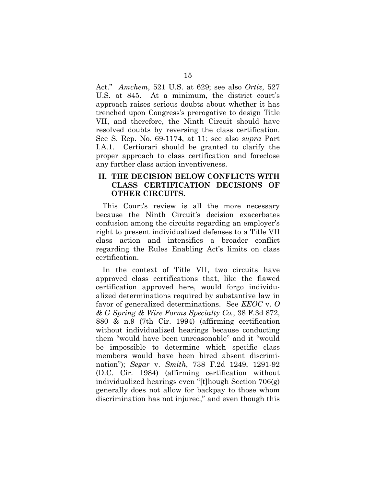Act." *Amchem*, 521 U.S. at 629; see also *Ortiz*, 527 U.S. at 845. At a minimum, the district court's approach raises serious doubts about whether it has trenched upon Congress's prerogative to design Title VII, and therefore, the Ninth Circuit should have resolved doubts by reversing the class certification. See S. Rep. No. 69-1174, at 11; see also *supra* Part I.A.1. Certiorari should be granted to clarify the proper approach to class certification and foreclose any further class action inventiveness.

### **II. THE DECISION BELOW CONFLICTS WITH CLASS CERTIFICATION DECISIONS OF OTHER CIRCUITS.**

This Court's review is all the more necessary because the Ninth Circuit's decision exacerbates confusion among the circuits regarding an employer's right to present individualized defenses to a Title VII class action and intensifies a broader conflict regarding the Rules Enabling Act's limits on class certification.

In the context of Title VII, two circuits have approved class certifications that, like the flawed certification approved here, would forgo individualized determinations required by substantive law in favor of generalized determinations. See *EEOC* v. *O & G Spring & Wire Forms Specialty Co.*, 38 F.3d 872, 880 & n.9 (7th Cir. 1994) (affirming certification without individualized hearings because conducting them "would have been unreasonable" and it "would be impossible to determine which specific class members would have been hired absent discrimination"); *Segar* v. *Smith*, 738 F.2d 1249, 1291-92 (D.C. Cir. 1984) (affirming certification without individualized hearings even "[t]hough Section 706(g) generally does not allow for backpay to those whom discrimination has not injured," and even though this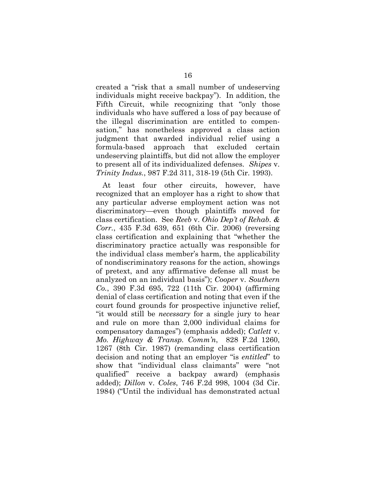created a "risk that a small number of undeserving individuals might receive backpay"). In addition, the Fifth Circuit, while recognizing that "only those individuals who have suffered a loss of pay because of the illegal discrimination are entitled to compensation," has nonetheless approved a class action judgment that awarded individual relief using a formula-based approach that excluded certain undeserving plaintiffs, but did not allow the employer to present all of its individualized defenses. *Shipes* v. *Trinity Indus.*, 987 F.2d 311, 318-19 (5th Cir. 1993).

At least four other circuits, however, have recognized that an employer has a right to show that any particular adverse employment action was not discriminatory—even though plaintiffs moved for class certification. See *Reeb* v. *Ohio Dep't of Rehab. & Corr.*, 435 F.3d 639, 651 (6th Cir. 2006) (reversing class certification and explaining that "whether the discriminatory practice actually was responsible for the individual class member's harm, the applicability of nondiscriminatory reasons for the action, showings of pretext, and any affirmative defense all must be analyzed on an individual basis"); *Cooper* v. *Southern Co.*, 390 F.3d 695, 722 (11th Cir. 2004) (affirming denial of class certification and noting that even if the court found grounds for prospective injunctive relief, "it would still be *necessary* for a single jury to hear and rule on more than 2,000 individual claims for compensatory damages") (emphasis added); *Catlett* v. *Mo. Highway & Transp. Comm'n*, 828 F.2d 1260, 1267 (8th Cir. 1987) (remanding class certification decision and noting that an employer "is *entitled*" to show that "individual class claimants" were "not qualified" receive a backpay award) (emphasis added); *Dillon* v. *Coles*, 746 F.2d 998, 1004 (3d Cir. 1984) ("Until the individual has demonstrated actual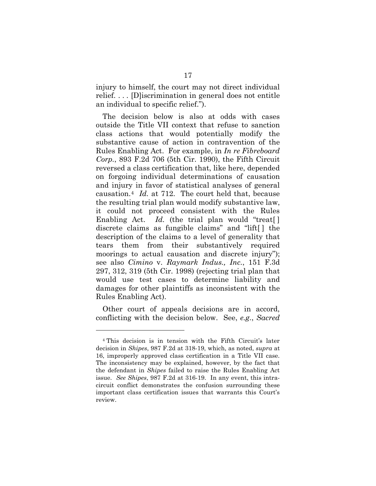injury to himself, the court may not direct individual relief. . . . [D]iscrimination in general does not entitle an individual to specific relief.").

The decision below is also at odds with cases outside the Title VII context that refuse to sanction class actions that would potentially modify the substantive cause of action in contravention of the Rules Enabling Act. For example, in *In re Fibreboard Corp.*, 893 F.2d 706 (5th Cir. 1990), the Fifth Circuit reversed a class certification that, like here, depended on forgoing individual determinations of causation and injury in favor of statistical analyses of general causation.[4](#page-22-0) *Id.* at 712. The court held that, because the resulting trial plan would modify substantive law, it could not proceed consistent with the Rules Enabling Act. *Id.* (the trial plan would "treat. discrete claims as fungible claims" and "lift[ ] the description of the claims to a level of generality that tears them from their substantively required moorings to actual causation and discrete injury"); see also *Cimino* v. *Raymark Indus., Inc.*, 151 F.3d 297, 312, 319 (5th Cir. 1998) (rejecting trial plan that would use test cases to determine liability and damages for other plaintiffs as inconsistent with the Rules Enabling Act).

Other court of appeals decisions are in accord, conflicting with the decision below. See, *e.g.*, *Sacred* 

 $\overline{a}$ 

<span id="page-22-0"></span><sup>4</sup> This decision is in tension with the Fifth Circuit's later decision in *Shipes*, 987 F.2d at 318-19, which, as noted, *supra* at 16, improperly approved class certification in a Title VII case. The inconsistency may be explained, however, by the fact that the defendant in *Shipes* failed to raise the Rules Enabling Act issue. *See Shipes*, 987 F.2d at 316-19. In any event, this intracircuit conflict demonstrates the confusion surrounding these important class certification issues that warrants this Court's review.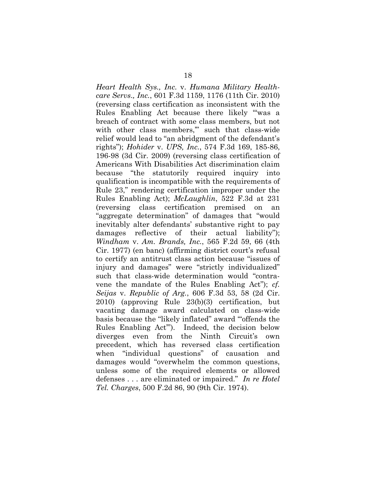*Heart Health Sys., Inc.* v. *Humana Military Healthcare Servs*.*, Inc.*, 601 F.3d 1159, 1176 (11th Cir. 2010) (reversing class certification as inconsistent with the Rules Enabling Act because there likely "'was a breach of contract with some class members, but not with other class members," such that class-wide relief would lead to "an abridgment of the defendant's rights"); *Hohider* v. *UPS, Inc.*, 574 F.3d 169, 185-86, 196-98 (3d Cir. 2009) (reversing class certification of Americans With Disabilities Act discrimination claim because "the statutorily required inquiry into qualification is incompatible with the requirements of Rule 23," rendering certification improper under the Rules Enabling Act); *McLaughlin*, 522 F.3d at 231 (reversing class certification premised on an "aggregate determination" of damages that "would inevitably alter defendants' substantive right to pay damages reflective of their actual liability"); *Windham* v. *Am. Brands, Inc.*, 565 F.2d 59, 66 (4th Cir. 1977) (en banc) (affirming district court's refusal to certify an antitrust class action because "issues of injury and damages" were "strictly individualized" such that class-wide determination would "contravene the mandate of the Rules Enabling Act"); *cf. Seijas* v. *Republic of Arg.*, 606 F.3d 53, 58 (2d Cir. 2010) (approving Rule 23(b)(3) certification, but vacating damage award calculated on class-wide basis because the "likely inflated" award "'offends the Rules Enabling Act'"). Indeed, the decision below diverges even from the Ninth Circuit's own precedent, which has reversed class certification when "individual questions" of causation and damages would "overwhelm the common questions, unless some of the required elements or allowed defenses . . . are eliminated or impaired." *In re Hotel Tel. Charges*, 500 F.2d 86, 90 (9th Cir. 1974).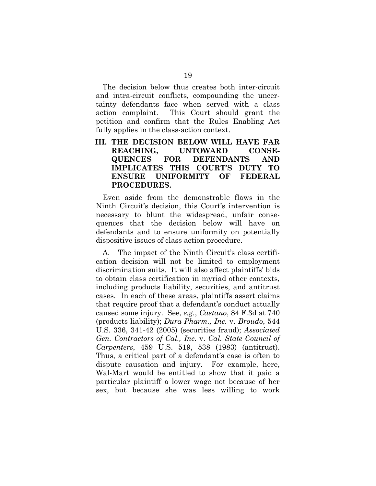The decision below thus creates both inter-circuit and intra-circuit conflicts, compounding the uncertainty defendants face when served with a class action complaint. This Court should grant the petition and confirm that the Rules Enabling Act fully applies in the class-action context.

# **III. THE DECISION BELOW WILL HAVE FAR REACHING, UNTOWARD CONSE-QUENCES FOR DEFENDANTS AND IMPLICATES THIS COURT'S DUTY TO ENSURE UNIFORMITY OF FEDERAL PROCEDURES.**

Even aside from the demonstrable flaws in the Ninth Circuit's decision, this Court's intervention is necessary to blunt the widespread, unfair consequences that the decision below will have on defendants and to ensure uniformity on potentially dispositive issues of class action procedure.

A. The impact of the Ninth Circuit's class certification decision will not be limited to employment discrimination suits. It will also affect plaintiffs' bids to obtain class certification in myriad other contexts, including products liability, securities, and antitrust cases. In each of these areas, plaintiffs assert claims that require proof that a defendant's conduct actually caused some injury. See, *e.g.*, *Castano*, 84 F.3d at 740 (products liability); *Dura Pharm., Inc.* v. *Broudo*, 544 U.S. 336, 341-42 (2005) (securities fraud); *Associated Gen. Contractors of Cal., Inc.* v. *Cal. State Council of Carpenters*, 459 U.S. 519, 538 (1983) (antitrust). Thus, a critical part of a defendant's case is often to dispute causation and injury. For example, here, Wal-Mart would be entitled to show that it paid a particular plaintiff a lower wage not because of her sex, but because she was less willing to work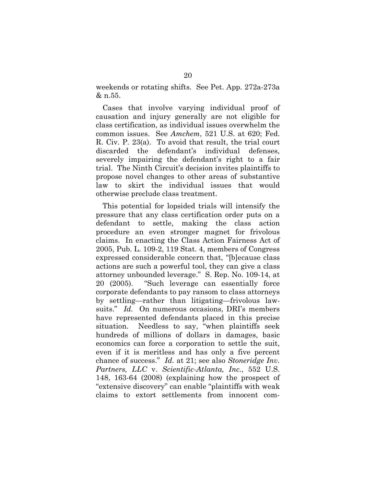weekends or rotating shifts. See Pet. App. 272a-273a  $&$  n.55.

Cases that involve varying individual proof of causation and injury generally are not eligible for class certification, as individual issues overwhelm the common issues. See *Amchem*, 521 U.S. at 620; Fed. R. Civ. P. 23(a). To avoid that result, the trial court discarded the defendant's individual defenses, severely impairing the defendant's right to a fair trial. The Ninth Circuit's decision invites plaintiffs to propose novel changes to other areas of substantive law to skirt the individual issues that would otherwise preclude class treatment.

This potential for lopsided trials will intensify the pressure that any class certification order puts on a defendant to settle, making the class action procedure an even stronger magnet for frivolous claims. In enacting the Class Action Fairness Act of 2005, Pub. L. 109-2, 119 Stat. 4, members of Congress expressed considerable concern that, "[b]ecause class actions are such a powerful tool, they can give a class attorney unbounded leverage." S. Rep. No. 109-14, at 20 (2005). "Such leverage can essentially force corporate defendants to pay ransom to class attorneys by settling—rather than litigating—frivolous lawsuits." *Id.* On numerous occasions, DRI's members have represented defendants placed in this precise situation. Needless to say, "when plaintiffs seek hundreds of millions of dollars in damages, basic economics can force a corporation to settle the suit, even if it is meritless and has only a five percent chance of success." *Id.* at 21; see also *Stoneridge Inv. Partners, LLC* v. *Scientific-Atlanta, Inc.*, 552 U.S. 148, 163-64 (2008) (explaining how the prospect of "extensive discovery" can enable "plaintiffs with weak claims to extort settlements from innocent com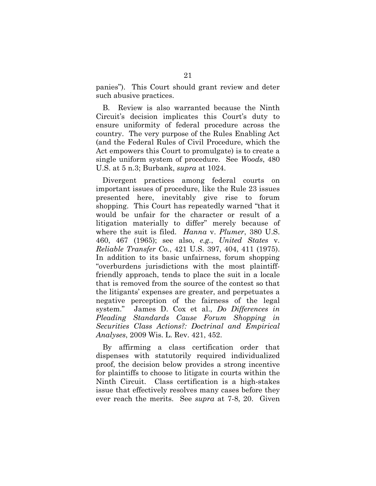panies").This Court should grant review and deter such abusive practices.

B. Review is also warranted because the Ninth Circuit's decision implicates this Court's duty to ensure uniformity of federal procedure across the country. The very purpose of the Rules Enabling Act (and the Federal Rules of Civil Procedure, which the Act empowers this Court to promulgate) is to create a single uniform system of procedure. See *Woods*, 480 U.S. at 5 n.3; Burbank, *supra* at 1024.

Divergent practices among federal courts on important issues of procedure, like the Rule 23 issues presented here, inevitably give rise to forum shopping. This Court has repeatedly warned "that it would be unfair for the character or result of a litigation materially to differ" merely because of where the suit is filed. *Hanna* v. *Plumer*, 380 U.S. 460, 467 (1965); see also, *e.g.*, *United States* v. *Reliable Transfer Co.*, 421 U.S. 397, 404, 411 (1975). In addition to its basic unfairness, forum shopping "overburdens jurisdictions with the most plaintifffriendly approach, tends to place the suit in a locale that is removed from the source of the contest so that the litigants' expenses are greater, and perpetuates a negative perception of the fairness of the legal system." James D. Cox et al., *Do Differences in Pleading Standards Cause Forum Shopping in Securities Class Actions?: Doctrinal and Empirical Analyses*, 2009 Wis. L. Rev. 421, 452.

By affirming a class certification order that dispenses with statutorily required individualized proof, the decision below provides a strong incentive for plaintiffs to choose to litigate in courts within the Ninth Circuit. Class certification is a high-stakes issue that effectively resolves many cases before they ever reach the merits. See *supra* at 7-8, 20. Given